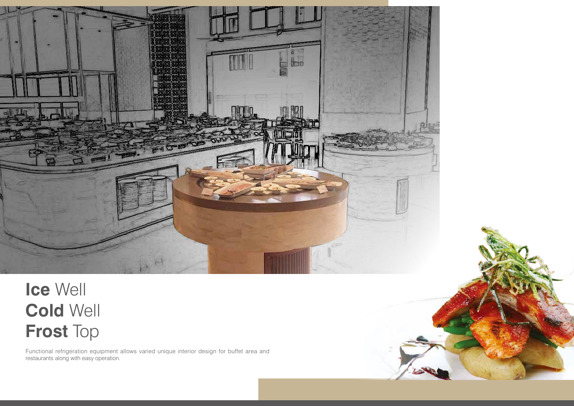

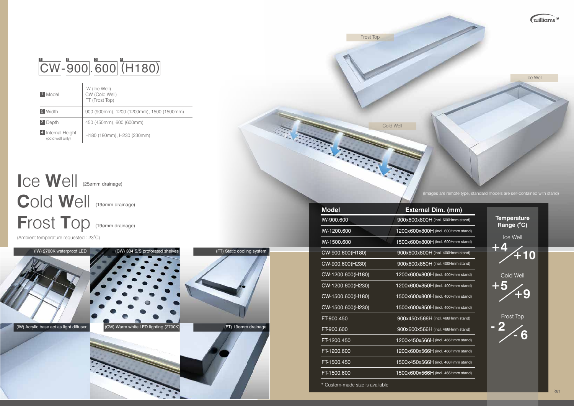| <b>Model</b>      | <b>External Dim. (mm)</b>          |  |
|-------------------|------------------------------------|--|
| IW-900.600        | 900x600x800H (incl. 600Hmm stand)  |  |
| IW-1200.600       | 1200x600x800H (incl. 600Hmm stand) |  |
| IW-1500.600       | 1500x600x800H (incl. 600Hmm stand) |  |
| CW-900.600(H180)  | 900x600x800H (incl. 400Hmm stand)  |  |
| CW-900.600(H230)  | 900x600x850H (incl. 400Hmm stand)  |  |
| CW-1200.600(H180) | 1200x600x800H (incl. 400Hmm stand) |  |
| CW-1200.600(H230) | 1200x600x850H (incl. 400Hmm stand) |  |
| CW-1500.600(H180) | 1500x600x800H (incl. 400Hmm stand) |  |
| CW-1500.600(H230) | 1500x600x850H (incl. 400Hmm stand) |  |
| FT-900.450        | 900x450x566H (incl. 466Hmm stand)  |  |
| FT-900.600        | 900x600x566H (incl. 466Hmm stand)  |  |
| FT-1200.450       | 1200x450x566H (incl. 466Hmm stand) |  |
| FT-1200.600       | 1200x600x566H (incl. 466Hmm stand) |  |
| FT-1500.450       | 1500x450x566H (incl. 466Hmm stand) |  |
| FT-1500.600       | 1500x600x566H (incl. 466Hmm stand) |  |
|                   |                                    |  |

## $\overline{\text{CW}}$ -900.600 (H180)

| 1 Model                               | IW (Ice Well)<br>CW (Cold Well)<br>FT (Frost Top) |
|---------------------------------------|---------------------------------------------------|
| 2 Width                               | 900 (900mm), 1200 (1200mm), 1500 (1500mm)         |
| <b>3</b> Depth                        | 450 (450mm), 600 (600mm)                          |
| 4 Internal Height<br>(cold well only) | H180 (180mm), H230 (230mm)                        |



**I**ce **W**ell (25ømm drainage) **C**old **W**ell (19ømm drainage) **F**rost **T**op (19ømm drainage)

(Ambient temperature requested : 23°C)

Frost Top



Cold Well

| <b>Temperature</b><br>Range (°C) |  |
|----------------------------------|--|
| Ice Well<br>ŦŹ<br>10             |  |
| <b>Cold Well</b><br>15<br>9      |  |
| <b>Frost Top</b><br>6            |  |
|                                  |  |

\* Custom-made size is available

(Images are remote type, standard models are self-contained with stand)